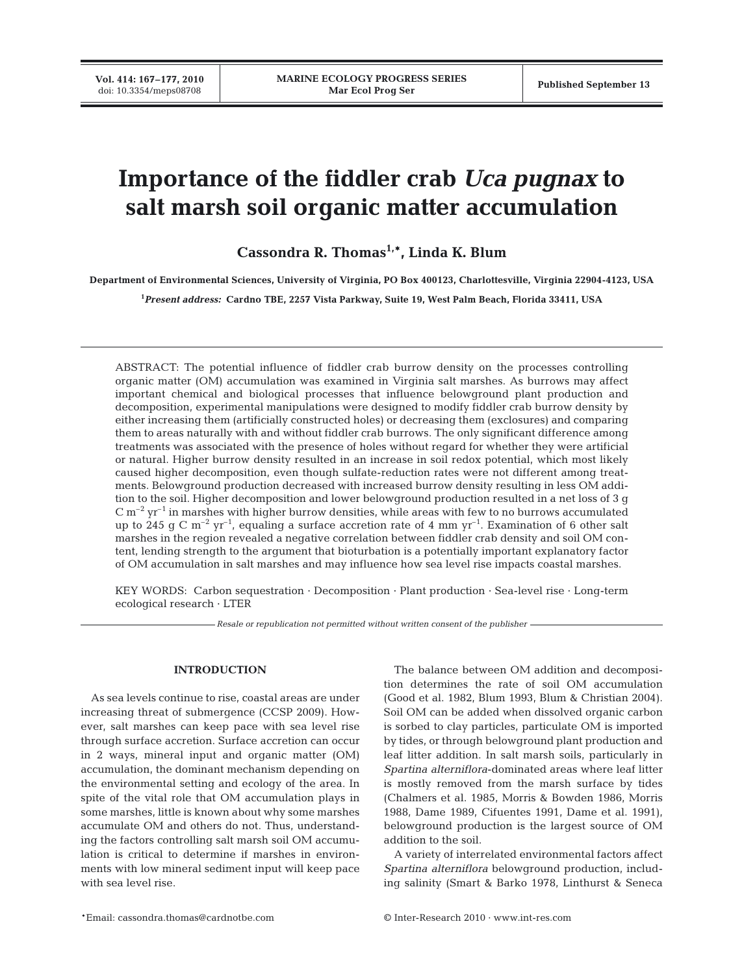**Vol. 414: 167–177, 2010**

# **Importance of the fiddler crab** *Uca pugnax* **to salt marsh soil organic matter accumulation**

**Cassondra R. Thomas1,\*, Linda K. Blum**

**Department of Environmental Sciences, University of Virginia, PO Box 400123, Charlottesville, Virginia 22904-4123, USA**

**1** *Present address:* **Cardno TBE, 2257 Vista Parkway, Suite 19, West Palm Beach, Florida 33411, USA**

ABSTRACT: The potential influence of fiddler crab burrow density on the processes controlling organic matter (OM) accumulation was examined in Virginia salt marshes. As burrows may affect important chemical and biological processes that influence belowground plant production and decomposition, experimental manipulations were designed to modify fiddler crab burrow density by either increasing them (artificially constructed holes) or decreasing them (exclosures) and comparing them to areas naturally with and without fiddler crab burrows. The only significant difference among treatments was associated with the presence of holes without regard for whether they were artificial or natural. Higher burrow density resulted in an increase in soil redox potential, which most likely caused higher decomposition, even though sulfate-reduction rates were not different among treatments. Belowground production decreased with increased burrow density resulting in less OM addition to the soil. Higher decomposition and lower belowground production resulted in a net loss of 3 g  $C m^{-2} yr^{-1}$  in marshes with higher burrow densities, while areas with few to no burrows accumulated up to 245 g C  $m^{-2}$  yr<sup>-1</sup>, equaling a surface accretion rate of 4 mm yr<sup>-1</sup>. Examination of 6 other salt marshes in the region revealed a negative correlation between fiddler crab density and soil OM content, lending strength to the argument that bioturbation is a potentially important explanatory factor of OM accumulation in salt marshes and may influence how sea level rise impacts coastal marshes.

KEY WORDS: Carbon sequestration · Decomposition · Plant production · Sea-level rise · Long-term ecological research · LTER

*Resale or republication not permitted without written consent of the publisher*

# **INTRODUCTION**

As sea levels continue to rise, coastal areas are under increasing threat of submergence (CCSP 2009). However, salt marshes can keep pace with sea level rise through surface accretion. Surface accretion can occur in 2 ways, mineral input and organic matter (OM) accumulation, the dominant mechanism depending on the environmental setting and ecology of the area. In spite of the vital role that OM accumulation plays in some marshes, little is known about why some marshes accumulate OM and others do not. Thus, understanding the factors controlling salt marsh soil OM accumulation is critical to determine if marshes in environments with low mineral sediment input will keep pace with sea level rise.

The balance between OM addition and decomposition determines the rate of soil OM accumulation (Good et al. 1982, Blum 1993, Blum & Christian 2004). Soil OM can be added when dissolved organic carbon is sorbed to clay particles, particulate OM is imported by tides, or through belowground plant production and leaf litter addition. In salt marsh soils, particularly in *Spartina alterniflora*-dominated areas where leaf litter is mostly removed from the marsh surface by tides (Chalmers et al. 1985, Morris & Bowden 1986, Morris 1988, Dame 1989, Cifuentes 1991, Dame et al. 1991), belowground production is the largest source of OM addition to the soil.

A variety of interrelated environmental factors affect *Spartina alterniflora* belowground production, including salinity (Smart & Barko 1978, Linthurst & Seneca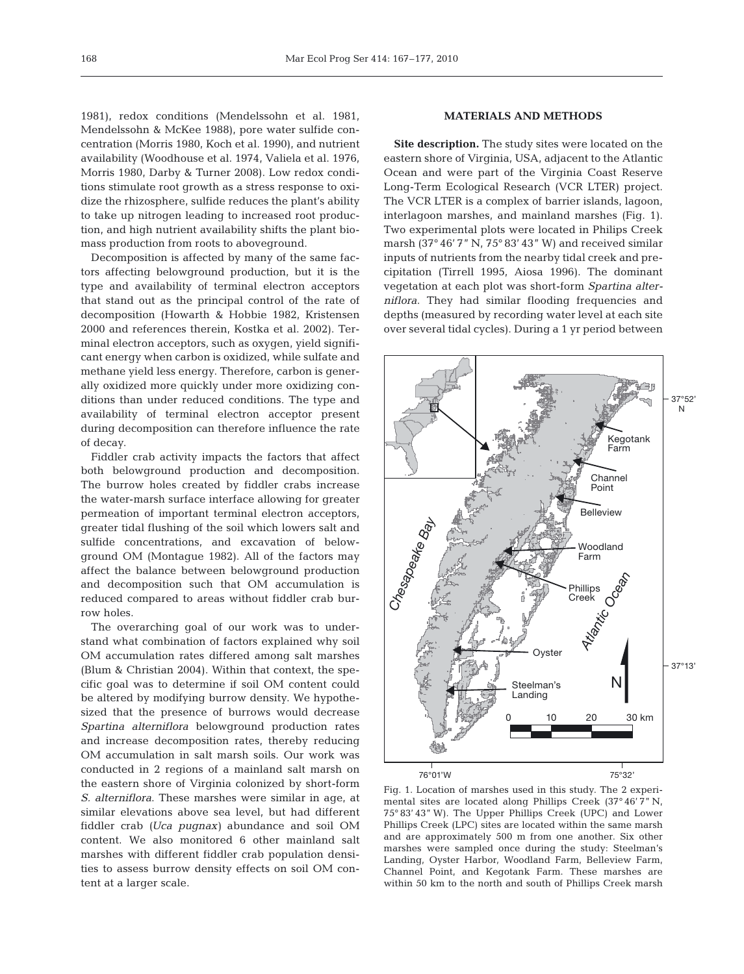1981), redox conditions (Mendelssohn et al. 1981, Mendelssohn & McKee 1988), pore water sulfide concentration (Morris 1980, Koch et al. 1990), and nutrient availability (Woodhouse et al. 1974, Valiela et al. 1976, Morris 1980, Darby & Turner 2008). Low redox conditions stimulate root growth as a stress response to oxidize the rhizosphere, sulfide reduces the plant's ability to take up nitrogen leading to increased root production, and high nutrient availability shifts the plant biomass production from roots to aboveground.

Decomposition is affected by many of the same factors affecting belowground production, but it is the type and availability of terminal electron acceptors that stand out as the principal control of the rate of decomposition (Howarth & Hobbie 1982, Kristensen 2000 and references therein, Kostka et al. 2002). Terminal electron acceptors, such as oxygen, yield significant energy when carbon is oxidized, while sulfate and methane yield less energy. Therefore, carbon is generally oxidized more quickly under more oxidizing conditions than under reduced conditions. The type and availability of terminal electron acceptor present during decomposition can therefore influence the rate of decay.

Fiddler crab activity impacts the factors that affect both belowground production and decomposition. The burrow holes created by fiddler crabs increase the water-marsh surface interface allowing for greater permeation of important terminal electron acceptors, greater tidal flushing of the soil which lowers salt and sulfide concentrations, and excavation of belowground OM (Montague 1982). All of the factors may affect the balance between belowground production and decomposition such that OM accumulation is reduced compared to areas without fiddler crab burrow holes.

The overarching goal of our work was to understand what combination of factors explained why soil OM accumulation rates differed among salt marshes (Blum & Christian 2004). Within that context, the specific goal was to determine if soil OM content could be altered by modifying burrow density. We hypothesized that the presence of burrows would decrease *Spartina alterniflora* belowground production rates and increase decomposition rates, thereby reducing OM accumulation in salt marsh soils. Our work was conducted in 2 regions of a mainland salt marsh on the eastern shore of Virginia colonized by short-form *S. alterniflora*. These marshes were similar in age, at similar elevations above sea level, but had different fiddler crab *(Uca pugnax)* abundance and soil OM content. We also monitored 6 other mainland salt marshes with different fiddler crab population densities to assess burrow density effects on soil OM content at a larger scale.

# **MATERIALS AND METHODS**

**Site description.** The study sites were located on the eastern shore of Virginia, USA, adjacent to the Atlantic Ocean and were part of the Virginia Coast Reserve Long-Term Ecological Research (VCR LTER) project. The VCR LTER is a complex of barrier islands, lagoon, interlagoon marshes, and mainland marshes (Fig. 1). Two experimental plots were located in Philips Creek marsh (37° 46' 7" N, 75° 83' 43" W) and received similar inputs of nutrients from the nearby tidal creek and precipitation (Tirrell 1995, Aiosa 1996). The dominant vegetation at each plot was short-form *Spartina alterniflora*. They had similar flooding frequencies and depths (measured by recording water level at each site over several tidal cycles). During a 1 yr period between



Fig. 1. Location of marshes used in this study. The 2 experimental sites are located along Phillips Creek (37° 46' 7" N, 75° 83' 43" W). The Upper Phillips Creek (UPC) and Lower Phillips Creek (LPC) sites are located within the same marsh and are approximately 500 m from one another. Six other marshes were sampled once during the study: Steelman's Landing, Oyster Harbor, Woodland Farm, Belleview Farm, Channel Point, and Kegotank Farm. These marshes are within 50 km to the north and south of Phillips Creek marsh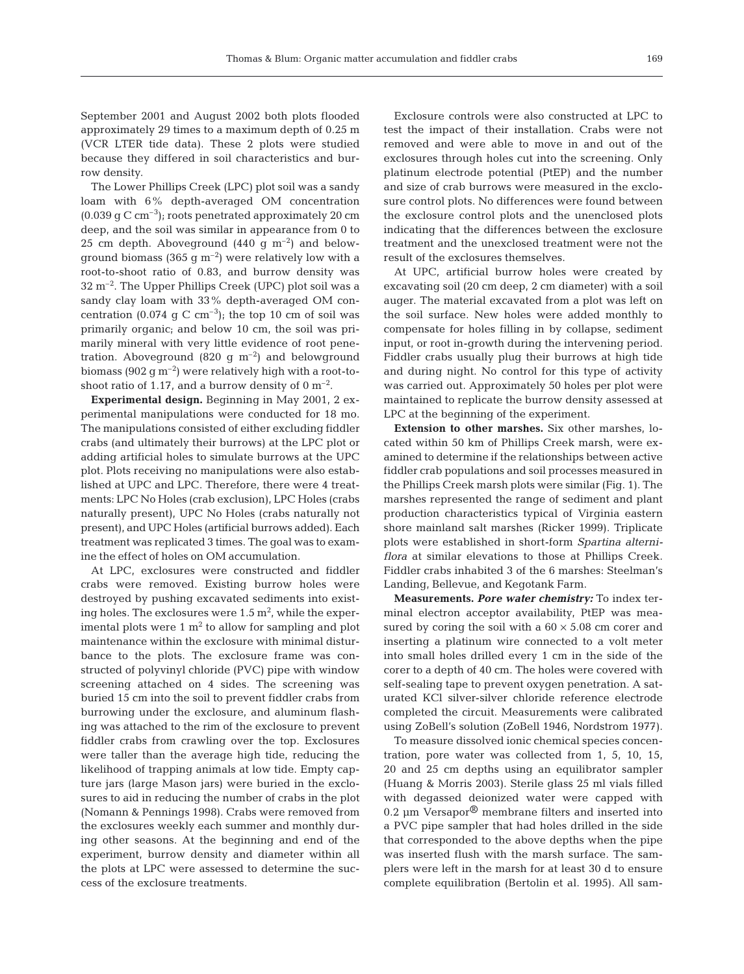September 2001 and August 2002 both plots flooded approximately 29 times to a maximum depth of 0.25 m (VCR LTER tide data). These 2 plots were studied because they differed in soil characteristics and burrow density.

The Lower Phillips Creek (LPC) plot soil was a sandy loam with 6% depth-averaged OM concentration  $(0.039 \text{ g C cm}^{-3})$ ; roots penetrated approximately 20 cm deep, and the soil was similar in appearance from 0 to 25 cm depth. Aboveground  $(440 \text{ g m}^{-2})$  and belowground biomass (365 g  $\rm m^{-2}$ ) were relatively low with a root-to-shoot ratio of 0.83, and burrow density was  $32 \text{ m}^{-2}$ . The Upper Phillips Creek (UPC) plot soil was a sandy clay loam with 33% depth-averaged OM concentration (0.074 g C cm<sup>-3</sup>); the top 10 cm of soil was primarily organic; and below 10 cm, the soil was primarily mineral with very little evidence of root penetration. Aboveground (820 g  $m^{-2}$ ) and belowground biomass (902  $g$  m<sup>-2</sup>) were relatively high with a root-toshoot ratio of 1.17, and a burrow density of  $0 \text{ m}^{-2}$ .

**Experimental design.** Beginning in May 2001, 2 experimental manipulations were conducted for 18 mo. The manipulations consisted of either excluding fiddler crabs (and ultimately their burrows) at the LPC plot or adding artificial holes to simulate burrows at the UPC plot. Plots receiving no manipulations were also established at UPC and LPC. Therefore, there were 4 treatments: LPC No Holes (crab exclusion), LPC Holes (crabs naturally present), UPC No Holes (crabs naturally not present), and UPC Holes (artificial burrows added). Each treatment was replicated 3 times. The goal was to examine the effect of holes on OM accumulation.

At LPC, exclosures were constructed and fiddler crabs were removed. Existing burrow holes were destroyed by pushing excavated sediments into existing holes. The exclosures were 1.5  $\mathrm{m}^{2}$ , while the experimental plots were  $1 \text{ m}^2$  to allow for sampling and plot maintenance within the exclosure with minimal disturbance to the plots. The exclosure frame was constructed of polyvinyl chloride (PVC) pipe with window screening attached on 4 sides. The screening was buried 15 cm into the soil to prevent fiddler crabs from burrowing under the exclosure, and aluminum flashing was attached to the rim of the exclosure to prevent fiddler crabs from crawling over the top. Exclosures were taller than the average high tide, reducing the likelihood of trapping animals at low tide. Empty capture jars (large Mason jars) were buried in the exclosures to aid in reducing the number of crabs in the plot (Nomann & Pennings 1998). Crabs were removed from the exclosures weekly each summer and monthly during other seasons. At the beginning and end of the experiment, burrow density and diameter within all the plots at LPC were assessed to determine the success of the exclosure treatments.

Exclosure controls were also constructed at LPC to test the impact of their installation. Crabs were not removed and were able to move in and out of the exclosures through holes cut into the screening. Only platinum electrode potential (PtEP) and the number and size of crab burrows were measured in the exclosure control plots. No differences were found between the exclosure control plots and the unenclosed plots indicating that the differences between the exclosure treatment and the unexclosed treatment were not the result of the exclosures themselves.

At UPC, artificial burrow holes were created by excavating soil (20 cm deep, 2 cm diameter) with a soil auger. The material excavated from a plot was left on the soil surface. New holes were added monthly to compensate for holes filling in by collapse, sediment input, or root in-growth during the intervening period. Fiddler crabs usually plug their burrows at high tide and during night. No control for this type of activity was carried out. Approximately 50 holes per plot were maintained to replicate the burrow density assessed at LPC at the beginning of the experiment.

**Extension to other marshes.** Six other marshes, located within 50 km of Phillips Creek marsh, were examined to determine if the relationships between active fiddler crab populations and soil processes measured in the Phillips Creek marsh plots were similar (Fig. 1). The marshes represented the range of sediment and plant production characteristics typical of Virginia eastern shore mainland salt marshes (Ricker 1999). Triplicate plots were established in short-form *Spartina alterniflora* at similar elevations to those at Phillips Creek. Fiddler crabs inhabited 3 of the 6 marshes: Steelman's Landing, Bellevue, and Kegotank Farm.

**Measurements.** *Pore water chemistry:* To index terminal electron acceptor availability, PtEP was measured by coring the soil with a  $60 \times 5.08$  cm corer and inserting a platinum wire connected to a volt meter into small holes drilled every 1 cm in the side of the corer to a depth of 40 cm. The holes were covered with self-sealing tape to prevent oxygen penetration. A saturated KCl silver-silver chloride reference electrode completed the circuit. Measurements were calibrated using ZoBell's solution (ZoBell 1946, Nordstrom 1977).

To measure dissolved ionic chemical species concentration, pore water was collected from 1, 5, 10, 15, 20 and 25 cm depths using an equilibrator sampler (Huang & Morris 2003). Sterile glass 25 ml vials filled with degassed deionized water were capped with 0.2  $\mu$ m Versapor<sup>®</sup> membrane filters and inserted into a PVC pipe sampler that had holes drilled in the side that corresponded to the above depths when the pipe was inserted flush with the marsh surface. The samplers were left in the marsh for at least 30 d to ensure complete equilibration (Bertolin et al. 1995). All sam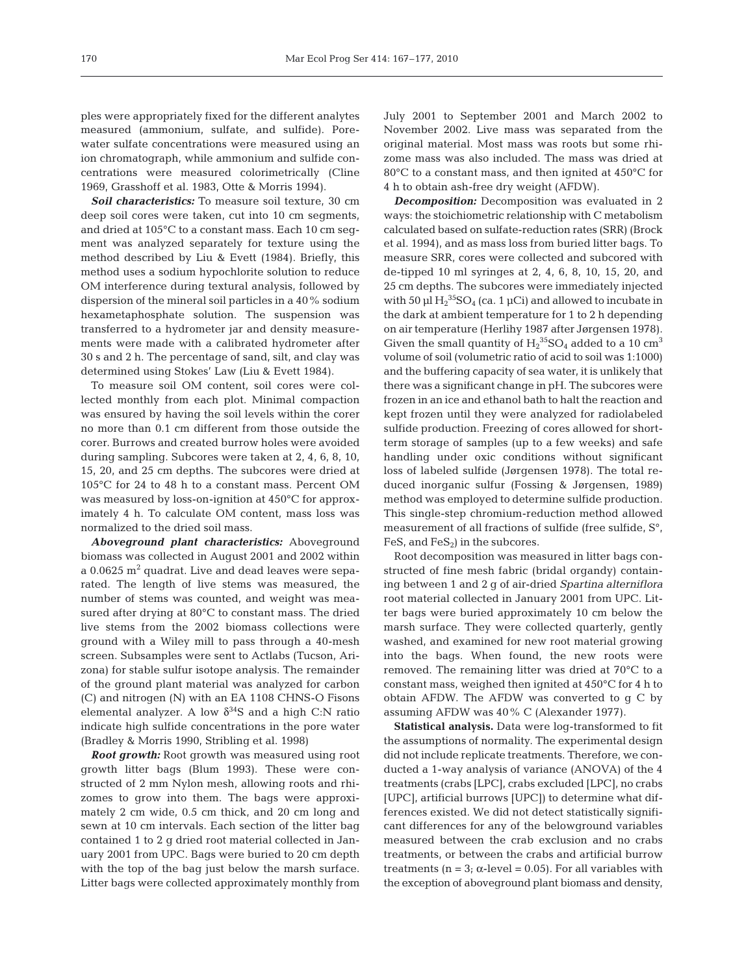ples were appropriately fixed for the different analytes measured (ammonium, sulfate, and sulfide). Porewater sulfate concentrations were measured using an ion chromatograph, while ammonium and sulfide concentrations were measured colorimetrically (Cline 1969, Grasshoff et al. 1983, Otte & Morris 1994).

*Soil characteristics:* To measure soil texture, 30 cm deep soil cores were taken, cut into 10 cm segments, and dried at 105°C to a constant mass. Each 10 cm segment was analyzed separately for texture using the method described by Liu & Evett (1984). Briefly, this method uses a sodium hypochlorite solution to reduce OM interference during textural analysis, followed by dispersion of the mineral soil particles in a 40% sodium hexametaphosphate solution. The suspension was transferred to a hydrometer jar and density measurements were made with a calibrated hydrometer after 30 s and 2 h. The percentage of sand, silt, and clay was determined using Stokes' Law (Liu & Evett 1984).

To measure soil OM content, soil cores were collected monthly from each plot. Minimal compaction was ensured by having the soil levels within the corer no more than 0.1 cm different from those outside the corer. Burrows and created burrow holes were avoided during sampling. Subcores were taken at 2, 4, 6, 8, 10, 15, 20, and 25 cm depths. The subcores were dried at 105°C for 24 to 48 h to a constant mass. Percent OM was measured by loss-on-ignition at 450°C for approximately 4 h. To calculate OM content, mass loss was normalized to the dried soil mass.

*Aboveground plant characteristics:* Aboveground biomass was collected in August 2001 and 2002 within a 0.0625 m2 quadrat. Live and dead leaves were separated. The length of live stems was measured, the number of stems was counted, and weight was measured after drying at 80°C to constant mass. The dried live stems from the 2002 biomass collections were ground with a Wiley mill to pass through a 40-mesh screen. Subsamples were sent to Actlabs (Tucson, Arizona) for stable sulfur isotope analysis. The remainder of the ground plant material was analyzed for carbon (C) and nitrogen (N) with an EA 1108 CHNS-O Fisons elemental analyzer. A low  $\delta^{34}S$  and a high C:N ratio indicate high sulfide concentrations in the pore water (Bradley & Morris 1990, Stribling et al. 1998)

*Root growth:* Root growth was measured using root growth litter bags (Blum 1993). These were constructed of 2 mm Nylon mesh, allowing roots and rhizomes to grow into them. The bags were approximately 2 cm wide, 0.5 cm thick, and 20 cm long and sewn at 10 cm intervals. Each section of the litter bag contained 1 to 2 g dried root material collected in January 2001 from UPC. Bags were buried to 20 cm depth with the top of the bag just below the marsh surface. Litter bags were collected approximately monthly from July 2001 to September 2001 and March 2002 to November 2002. Live mass was separated from the original material. Most mass was roots but some rhizome mass was also included. The mass was dried at 80°C to a constant mass, and then ignited at 450°C for 4 h to obtain ash-free dry weight (AFDW).

*Decomposition:* Decomposition was evaluated in 2 ways: the stoichiometric relationship with C metabolism calculated based on sulfate-reduction rates (SRR) (Brock et al. 1994), and as mass loss from buried litter bags. To measure SRR, cores were collected and subcored with de-tipped 10 ml syringes at 2, 4, 6, 8, 10, 15, 20, and 25 cm depths. The subcores were immediately injected with 50  $\mu$ l H<sub>2</sub><sup>35</sup>SO<sub>4</sub> (ca. 1  $\mu$ Ci) and allowed to incubate in the dark at ambient temperature for 1 to 2 h depending on air temperature (Herlihy 1987 after Jørgensen 1978). Given the small quantity of  $\text{H}_{2}^{35}\text{SO}_{4}$  added to a 10  $\text{cm}^{3}$ volume of soil (volumetric ratio of acid to soil was 1:1000) and the buffering capacity of sea water, it is unlikely that there was a significant change in pH. The subcores were frozen in an ice and ethanol bath to halt the reaction and kept frozen until they were analyzed for radiolabeled sulfide production. Freezing of cores allowed for shortterm storage of samples (up to a few weeks) and safe handling under oxic conditions without significant loss of labeled sulfide (Jørgensen 1978). The total reduced inorganic sulfur (Fossing & Jørgensen, 1989) method was employed to determine sulfide production. This single-step chromium-reduction method allowed measurement of all fractions of sulfide (free sulfide, S°, FeS, and  $FeS_2$ ) in the subcores.

Root decomposition was measured in litter bags constructed of fine mesh fabric (bridal organdy) containing between 1 and 2 g of air-dried *Spartina alterniflora* root material collected in January 2001 from UPC. Litter bags were buried approximately 10 cm below the marsh surface. They were collected quarterly, gently washed, and examined for new root material growing into the bags. When found, the new roots were removed. The remaining litter was dried at 70°C to a constant mass, weighed then ignited at 450°C for 4 h to obtain AFDW. The AFDW was converted to g C by assuming AFDW was 40% C (Alexander 1977).

**Statistical analysis.** Data were log-transformed to fit the assumptions of normality. The experimental design did not include replicate treatments. Therefore, we conducted a 1-way analysis of variance (ANOVA) of the 4 treatments (crabs [LPC], crabs excluded [LPC], no crabs [UPC], artificial burrows [UPC]) to determine what differences existed. We did not detect statistically significant differences for any of the belowground variables measured between the crab exclusion and no crabs treatments, or between the crabs and artificial burrow treatments ( $n = 3$ ;  $\alpha$ -level = 0.05). For all variables with the exception of aboveground plant biomass and density,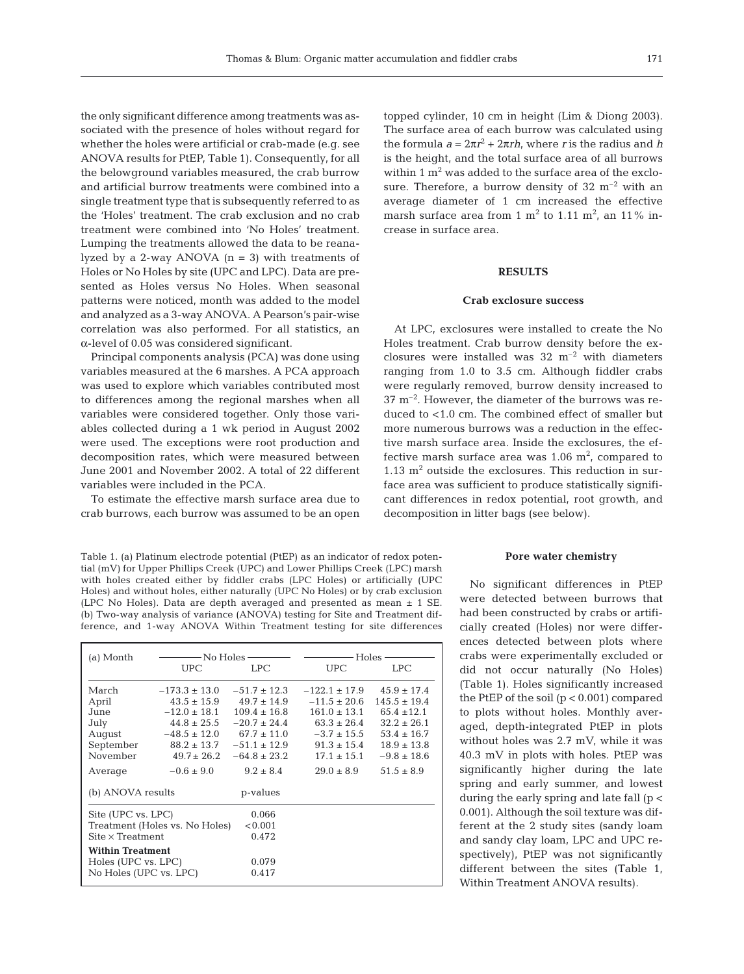the only significant difference among treatments was associated with the presence of holes without regard for whether the holes were artificial or crab-made (e.g. see ANOVA results for PtEP, Table 1). Consequently, for all the belowground variables measured, the crab burrow and artificial burrow treatments were combined into a single treatment type that is subsequently referred to as the 'Holes' treatment. The crab exclusion and no crab treatment were combined into 'No Holes' treatment. Lumping the treatments allowed the data to be reanalyzed by a 2-way ANOVA  $(n = 3)$  with treatments of Holes or No Holes by site (UPC and LPC). Data are presented as Holes versus No Holes. When seasonal patterns were noticed, month was added to the model and analyzed as a 3-way ANOVA. A Pearson's pair-wise correlation was also performed. For all statistics, an α-level of 0.05 was considered significant.

Principal components analysis (PCA) was done using variables measured at the 6 marshes. A PCA approach was used to explore which variables contributed most to differences among the regional marshes when all variables were considered together. Only those variables collected during a 1 wk period in August 2002 were used. The exceptions were root production and decomposition rates, which were measured between June 2001 and November 2002. A total of 22 different variables were included in the PCA.

To estimate the effective marsh surface area due to crab burrows, each burrow was assumed to be an open

Table 1. (a) Platinum electrode potential (PtEP) as an indicator of redox potential (mV) for Upper Phillips Creek (UPC) and Lower Phillips Creek (LPC) marsh with holes created either by fiddler crabs (LPC Holes) or artificially (UPC Holes) and without holes, either naturally (UPC No Holes) or by crab exclusion (LPC No Holes). Data are depth averaged and presented as mean ± 1 SE. (b) Two-way analysis of variance (ANOVA) testing for Site and Treatment difference, and 1-way ANOVA Within Treatment testing for site differences

| (a) Month                                 | -No Holes -       |                  | Holes             |                  |  |
|-------------------------------------------|-------------------|------------------|-------------------|------------------|--|
|                                           | <b>UPC</b>        | LPC              | <b>UPC</b>        | <b>LPC</b>       |  |
| March                                     | $-173.3 \pm 13.0$ | $-51.7 \pm 12.3$ | $-122.1 \pm 17.9$ | $45.9 \pm 17.4$  |  |
| April                                     | $43.5 \pm 15.9$   | $49.7 \pm 14.9$  | $-11.5 \pm 20.6$  | $145.5 \pm 19.4$ |  |
| June                                      | $-12.0 \pm 18.1$  | $109.4 \pm 16.8$ | $161.0 \pm 13.1$  | $65.4 \pm 12.1$  |  |
| July                                      | $44.8 \pm 25.5$   | $-20.7 \pm 24.4$ | $63.3 \pm 26.4$   | $32.2 \pm 26.1$  |  |
| August                                    | $-48.5 \pm 12.0$  | $67.7 \pm 11.0$  | $-3.7 \pm 15.5$   | $53.4 \pm 16.7$  |  |
| September                                 | $88.2 \pm 13.7$   | $-51.1 \pm 12.9$ | $91.3 \pm 15.4$   | $18.9 \pm 13.8$  |  |
| November                                  | $49.7 + 26.2$     | $-64.8 \pm 23.2$ | $17.1 \pm 15.1$   | $-9.8 \pm 18.6$  |  |
| Average                                   | $-0.6 \pm 9.0$    | $9.2 \pm 8.4$    | $29.0 \pm 8.9$    | $51.5 \pm 8.9$   |  |
| (b) ANOVA results<br>p-values             |                   |                  |                   |                  |  |
| Site (UPC vs. LPC)                        |                   | 0.066            |                   |                  |  |
| Treatment (Holes vs. No Holes)<br>< 0.001 |                   |                  |                   |                  |  |
| $Site \times Treatment$<br>0.472          |                   |                  |                   |                  |  |
| <b>Within Treatment</b>                   |                   |                  |                   |                  |  |
| Holes (UPC vs. LPC)                       |                   | 0.079            |                   |                  |  |
| No Holes (UPC vs. LPC)<br>0.417           |                   |                  |                   |                  |  |

topped cylinder, 10 cm in height (Lim & Diong 2003). The surface area of each burrow was calculated using the formula  $a = 2\pi r^2 + 2\pi rh$ , where *r* is the radius and *h* is the height, and the total surface area of all burrows within  $1 \text{ m}^2$  was added to the surface area of the exclosure. Therefore, a burrow density of  $32 \text{ m}^{-2}$  with an average diameter of 1 cm increased the effective marsh surface area from 1  $\text{m}^2$  to 1.11  $\text{m}^2$ , an 11% increase in surface area.

# **RESULTS**

## **Crab exclosure success**

At LPC, exclosures were installed to create the No Holes treatment. Crab burrow density before the exclosures were installed was  $32 \text{ m}^{-2}$  with diameters ranging from 1.0 to 3.5 cm. Although fiddler crabs were regularly removed, burrow density increased to  $37 \text{ m}^{-2}$ . However, the diameter of the burrows was reduced to <1.0 cm. The combined effect of smaller but more numerous burrows was a reduction in the effective marsh surface area. Inside the exclosures, the effective marsh surface area was 1.06  $\mathrm{m}^{2}$ , compared to  $1.13$  m<sup>2</sup> outside the exclosures. This reduction in surface area was sufficient to produce statistically significant differences in redox potential, root growth, and decomposition in litter bags (see below).

#### **Pore water chemistry**

No significant differences in PtEP were detected between burrows that had been constructed by crabs or artificially created (Holes) nor were differences detected between plots where crabs were experimentally excluded or did not occur naturally (No Holes) (Table 1). Holes significantly increased the PtEP of the soil (p < 0.001) compared to plots without holes. Monthly averaged, depth-integrated PtEP in plots without holes was 2.7 mV, while it was 40.3 mV in plots with holes. PtEP was significantly higher during the late spring and early summer, and lowest during the early spring and late fall  $(p <$ 0.001). Although the soil texture was different at the 2 study sites (sandy loam and sandy clay loam, LPC and UPC respectively), PtEP was not significantly different between the sites (Table 1, Within Treatment ANOVA results).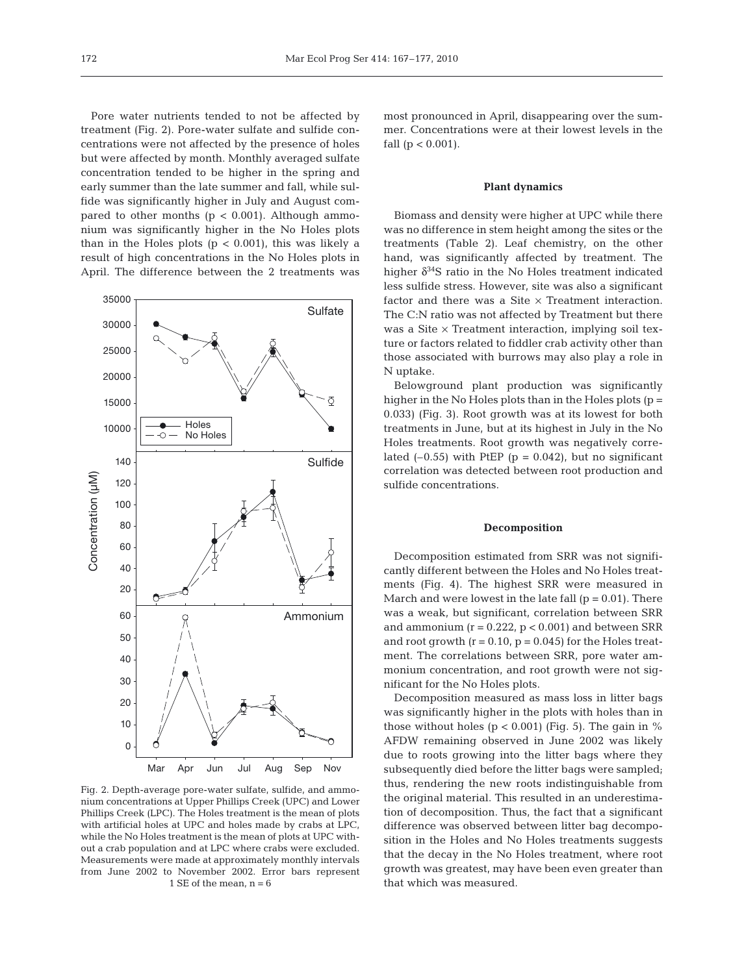Pore water nutrients tended to not be affected by treatment (Fig. 2). Pore-water sulfate and sulfide concentrations were not affected by the presence of holes but were affected by month. Monthly averaged sulfate concentration tended to be higher in the spring and early summer than the late summer and fall, while sulfide was significantly higher in July and August compared to other months  $(p < 0.001)$ . Although ammonium was significantly higher in the No Holes plots than in the Holes plots ( $p < 0.001$ ), this was likely a result of high concentrations in the No Holes plots in April. The difference between the 2 treatments was



Fig. 2. Depth-average pore-water sulfate, sulfide, and ammonium concentrations at Upper Phillips Creek (UPC) and Lower Phillips Creek (LPC). The Holes treatment is the mean of plots with artificial holes at UPC and holes made by crabs at LPC, while the No Holes treatment is the mean of plots at UPC without a crab population and at LPC where crabs were excluded. Measurements were made at approximately monthly intervals from June 2002 to November 2002. Error bars represent 1 SE of the mean,  $n = 6$ 

most pronounced in April, disappearing over the summer. Concentrations were at their lowest levels in the fall  $(p < 0.001)$ .

#### **Plant dynamics**

Biomass and density were higher at UPC while there was no difference in stem height among the sites or the treatments (Table 2). Leaf chemistry, on the other hand, was significantly affected by treatment. The higher  $\delta^{34}S$  ratio in the No Holes treatment indicated less sulfide stress. However, site was also a significant factor and there was a Site  $\times$  Treatment interaction. The C:N ratio was not affected by Treatment but there was a Site  $\times$  Treatment interaction, implying soil texture or factors related to fiddler crab activity other than those associated with burrows may also play a role in N uptake.

Belowground plant production was significantly higher in the No Holes plots than in the Holes plots (p = 0.033) (Fig. 3). Root growth was at its lowest for both treatments in June, but at its highest in July in the No Holes treatments. Root growth was negatively correlated  $(-0.55)$  with PtEP ( $p = 0.042$ ), but no significant correlation was detected between root production and sulfide concentrations.

#### **Decomposition**

Decomposition estimated from SRR was not significantly different between the Holes and No Holes treatments (Fig. 4). The highest SRR were measured in March and were lowest in the late fall  $(p = 0.01)$ . There was a weak, but significant, correlation between SRR and ammonium  $(r = 0.222, p < 0.001)$  and between SRR and root growth  $(r = 0.10, p = 0.045)$  for the Holes treatment. The correlations between SRR, pore water ammonium concentration, and root growth were not significant for the No Holes plots.

Decomposition measured as mass loss in litter bags was significantly higher in the plots with holes than in those without holes ( $p < 0.001$ ) (Fig. 5). The gain in % AFDW remaining observed in June 2002 was likely due to roots growing into the litter bags where they subsequently died before the litter bags were sampled; thus, rendering the new roots indistinguishable from the original material. This resulted in an underestimation of decomposition. Thus, the fact that a significant difference was observed between litter bag decomposition in the Holes and No Holes treatments suggests that the decay in the No Holes treatment, where root growth was greatest, may have been even greater than that which was measured.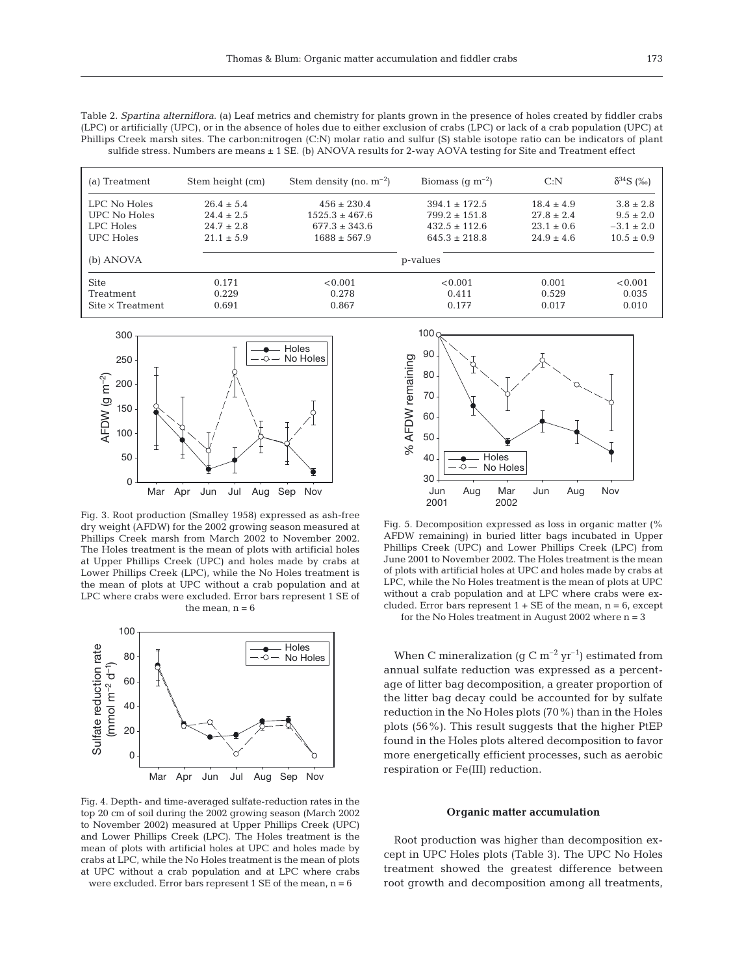Table 2. *Spartina alterniflora*. (a) Leaf metrics and chemistry for plants grown in the presence of holes created by fiddler crabs (LPC) or artificially (UPC), or in the absence of holes due to either exclusion of crabs (LPC) or lack of a crab population (UPC) at Phillips Creek marsh sites. The carbon:nitrogen (C:N) molar ratio and sulfur (S) stable isotope ratio can be indicators of plant sulfide stress. Numbers are means ± 1 SE. (b) ANOVA results for 2-way AOVA testing for Site and Treatment effect

| (a) Treatment           | Stem height (cm) | Stem density (no. $m^{-2}$ ) | Biomass (q $m^{-2}$ ) | C: N           | $\delta^{34}S$ (%) |
|-------------------------|------------------|------------------------------|-----------------------|----------------|--------------------|
| LPC No Holes            | $26.4 \pm 5.4$   | $456 \pm 230.4$              | $394.1 + 172.5$       | $18.4 \pm 4.9$ | $3.8 \pm 2.8$      |
| UPC No Holes            | $24.4 \pm 2.5$   | $1525.3 \pm 467.6$           | $799.2 \pm 151.8$     | $27.8 \pm 2.4$ | $9.5 \pm 2.0$      |
| LPC Holes               | $24.7 \pm 2.8$   | $677.3 \pm 343.6$            | $432.5 + 112.6$       | $23.1 \pm 0.6$ | $-3.1 \pm 2.0$     |
| UPC Holes               | $21.1 \pm 5.9$   | $1688 \pm 567.9$             | $645.3 \pm 218.8$     | $24.9 \pm 4.6$ | $10.5 \pm 0.9$     |
| (b) ANOVA               |                  |                              | p-values              |                |                    |
| <b>Site</b>             | 0.171            | < 0.001                      | < 0.001               | 0.001          | < 0.001            |
| Treatment               | 0.229            | 0.278                        | 0.411                 | 0.529          | 0.035              |
| $Site \times Treatment$ | 0.691            | 0.867                        | 0.177                 | 0.017          | 0.010              |



Fig. 3. Root production (Smalley 1958) expressed as ash-free dry weight (AFDW) for the 2002 growing season measured at Phillips Creek marsh from March 2002 to November 2002. The Holes treatment is the mean of plots with artificial holes at Upper Phillips Creek (UPC) and holes made by crabs at Lower Phillips Creek (LPC), while the No Holes treatment is the mean of plots at UPC without a crab population and at LPC where crabs were excluded. Error bars represent 1 SE of the mean,  $n = 6$ 



Fig. 4. Depth- and time-averaged sulfate-reduction rates in the top 20 cm of soil during the 2002 growing season (March 2002 to November 2002) measured at Upper Phillips Creek (UPC) and Lower Phillips Creek (LPC). The Holes treatment is the mean of plots with artificial holes at UPC and holes made by crabs at LPC, while the No Holes treatment is the mean of plots at UPC without a crab population and at LPC where crabs were excluded. Error bars represent  $1 \text{ SE of the mean}, n = 6$ 



Fig. 5. Decomposition expressed as loss in organic matter (% AFDW remaining) in buried litter bags incubated in Upper Phillips Creek (UPC) and Lower Phillips Creek (LPC) from June 2001 to November 2002. The Holes treatment is the mean of plots with artificial holes at UPC and holes made by crabs at LPC, while the No Holes treatment is the mean of plots at UPC without a crab population and at LPC where crabs were excluded. Error bars represent  $1 + SE$  of the mean,  $n = 6$ , except

for the No Holes treatment in August 2002 where  $n = 3$ 

When C mineralization (g C  $m^{-2}$  yr<sup>-1</sup>) estimated from annual sulfate reduction was expressed as a percentage of litter bag decomposition, a greater proportion of the litter bag decay could be accounted for by sulfate reduction in the No Holes plots (70%) than in the Holes plots (56%). This result suggests that the higher PtEP found in the Holes plots altered decomposition to favor more energetically efficient processes, such as aerobic respiration or Fe(III) reduction.

#### **Organic matter accumulation**

Root production was higher than decomposition except in UPC Holes plots (Table 3). The UPC No Holes treatment showed the greatest difference between root growth and decomposition among all treatments,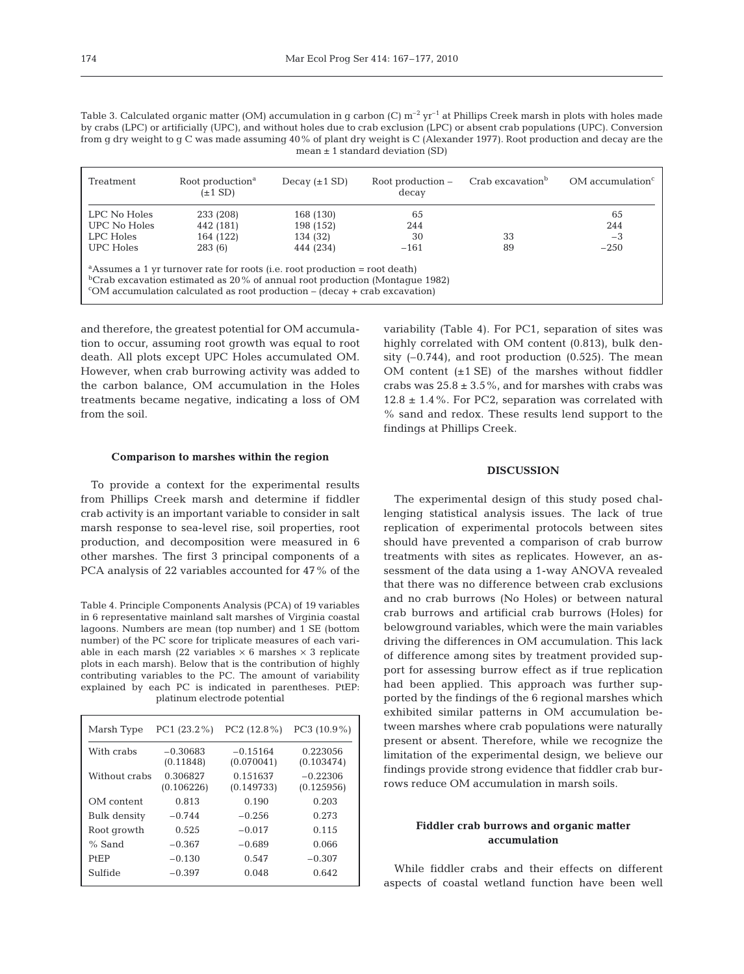Table 3. Calculated organic matter (OM) accumulation in g carbon (C)  $m^{-2}$  yr<sup>-1</sup> at Phillips Creek marsh in plots with holes made by crabs (LPC) or artificially (UPC), and without holes due to crab exclusion (LPC) or absent crab populations (UPC). Conversion from g dry weight to g C was made assuming 40% of plant dry weight is C (Alexander 1977). Root production and decay are the mean  $\pm$  1 standard deviation (SD)

| Treatment                                                                                                                                                                                                                                                                    | Root production <sup>a</sup><br>$(\pm 1$ SD) | Decay $(\pm 1$ SD) | Root production –<br>decay | Crab excavation <sup>b</sup> | $OM$ accumulation <sup><math>c</math></sup> |  |
|------------------------------------------------------------------------------------------------------------------------------------------------------------------------------------------------------------------------------------------------------------------------------|----------------------------------------------|--------------------|----------------------------|------------------------------|---------------------------------------------|--|
| LPC No Holes                                                                                                                                                                                                                                                                 | 233 (208)                                    | 168 (130)          | 65                         |                              | 65                                          |  |
| UPC No Holes                                                                                                                                                                                                                                                                 | 442 (181)                                    | 198 (152)          | 244                        |                              | 244                                         |  |
| LPC Holes                                                                                                                                                                                                                                                                    | 164 (122)                                    | 134 (32)           | 30                         | 33                           | $-3$                                        |  |
| UPC Holes                                                                                                                                                                                                                                                                    | 283 (6)                                      | 444 (234)          | $-161$                     | 89                           | $-250$                                      |  |
| <sup>a</sup> Assumes a 1 yr turnover rate for roots (i.e. root production = root death)<br><sup>b</sup> Crab excavation estimated as $20\%$ of annual root production (Montaque 1982)<br>$\rm ^{c}OM$ accumulation calculated as root production – (decay + crab excavation) |                                              |                    |                            |                              |                                             |  |

and therefore, the greatest potential for OM accumulation to occur, assuming root growth was equal to root death. All plots except UPC Holes accumulated OM. However, when crab burrowing activity was added to the carbon balance, OM accumulation in the Holes treatments became negative, indicating a loss of OM from the soil.

variability (Table 4). For PC1, separation of sites was highly correlated with OM content (0.813), bulk density  $(-0.744)$ , and root production  $(0.525)$ . The mean OM content  $(\pm 1 \text{ SE})$  of the marshes without fiddler crabs was  $25.8 \pm 3.5\%$ , and for marshes with crabs was  $12.8 \pm 1.4$ %. For PC2, separation was correlated with % sand and redox. These results lend support to the findings at Phillips Creek.

# **Comparison to marshes within the region**

To provide a context for the experimental results from Phillips Creek marsh and determine if fiddler crab activity is an important variable to consider in salt marsh response to sea-level rise, soil properties, root production, and decomposition were measured in 6 other marshes. The first 3 principal components of a PCA analysis of 22 variables accounted for 47% of the

Table 4. Principle Components Analysis (PCA) of 19 variables in 6 representative mainland salt marshes of Virginia coastal lagoons. Numbers are mean (top number) and 1 SE (bottom number) of the PC score for triplicate measures of each variable in each marsh (22 variables  $\times$  6 marshes  $\times$  3 replicate plots in each marsh). Below that is the contribution of highly contributing variables to the PC. The amount of variability explained by each PC is indicated in parentheses. PtEP: platinum electrode potential

| Marsh Type    | PC1 (23.2%)             | $PC2(12.8\%)$            | $PC3 (10.9\%)$           |
|---------------|-------------------------|--------------------------|--------------------------|
| With crabs    | $-0.30683$<br>(0.11848) | $-0.15164$<br>(0.070041) | 0.223056<br>(0.103474)   |
| Without crabs | 0.306827<br>(0.106226)  | 0.151637<br>(0.149733)   | $-0.22306$<br>(0.125956) |
| OM content    | 0.813                   | 0.190                    | 0.203                    |
| Bulk density  | $-0.744$                | $-0.256$                 | 0.273                    |
| Root growth   | 0.52.5                  | $-0.017$                 | 0.115                    |
| $%$ Sand      | $-0.367$                | $-0.689$                 | 0.066                    |
| <b>PfFP</b>   | $-0.130$                | 0.547                    | $-0.307$                 |
| Sulfide       | $-0.397$                | 0.048                    | 0.642                    |

## **DISCUSSION**

The experimental design of this study posed challenging statistical analysis issues. The lack of true replication of experimental protocols between sites should have prevented a comparison of crab burrow treatments with sites as replicates. However, an assessment of the data using a 1-way ANOVA revealed that there was no difference between crab exclusions and no crab burrows (No Holes) or between natural crab burrows and artificial crab burrows (Holes) for belowground variables, which were the main variables driving the differences in OM accumulation. This lack of difference among sites by treatment provided support for assessing burrow effect as if true replication had been applied. This approach was further supported by the findings of the 6 regional marshes which exhibited similar patterns in OM accumulation between marshes where crab populations were naturally present or absent. Therefore, while we recognize the limitation of the experimental design, we believe our findings provide strong evidence that fiddler crab burrows reduce OM accumulation in marsh soils.

# **Fiddler crab burrows and organic matter accumulation**

While fiddler crabs and their effects on different aspects of coastal wetland function have been well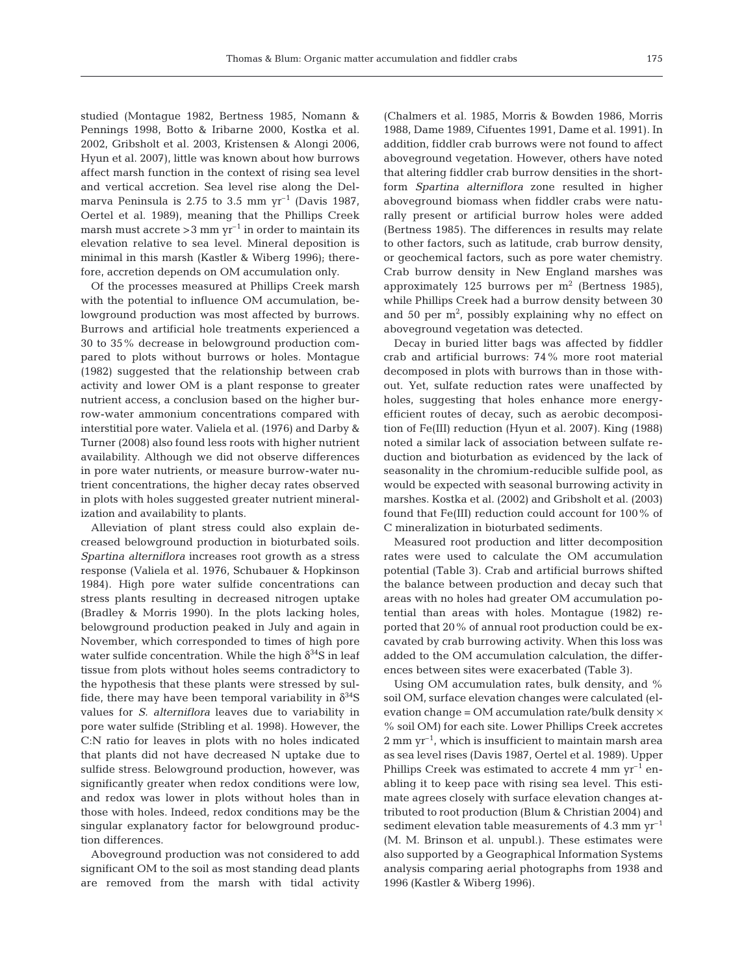studied (Montague 1982, Bertness 1985, Nomann & Pennings 1998, Botto & Iribarne 2000, Kostka et al. 2002, Gribsholt et al. 2003, Kristensen & Alongi 2006, Hyun et al. 2007), little was known about how burrows affect marsh function in the context of rising sea level and vertical accretion. Sea level rise along the Delmarva Peninsula is 2.75 to 3.5 mm  $yr^{-1}$  (Davis 1987, Oertel et al. 1989), meaning that the Phillips Creek marsh must accrete  $>$  3 mm yr<sup>-1</sup> in order to maintain its elevation relative to sea level. Mineral deposition is minimal in this marsh (Kastler & Wiberg 1996); therefore, accretion depends on OM accumulation only.

Of the processes measured at Phillips Creek marsh with the potential to influence OM accumulation, belowground production was most affected by burrows. Burrows and artificial hole treatments experienced a 30 to 35% decrease in belowground production compared to plots without burrows or holes. Montague (1982) suggested that the relationship between crab activity and lower OM is a plant response to greater nutrient access, a conclusion based on the higher burrow-water ammonium concentrations compared with interstitial pore water. Valiela et al. (1976) and Darby & Turner (2008) also found less roots with higher nutrient availability. Although we did not observe differences in pore water nutrients, or measure burrow-water nutrient concentrations, the higher decay rates observed in plots with holes suggested greater nutrient mineralization and availability to plants.

Alleviation of plant stress could also explain decreased belowground production in bioturbated soils. *Spartina alterniflora* increases root growth as a stress response (Valiela et al. 1976, Schubauer & Hopkinson 1984). High pore water sulfide concentrations can stress plants resulting in decreased nitrogen uptake (Bradley & Morris 1990). In the plots lacking holes, belowground production peaked in July and again in November, which corresponded to times of high pore water sulfide concentration. While the high  $\delta^{34}S$  in leaf tissue from plots without holes seems contradictory to the hypothesis that these plants were stressed by sulfide, there may have been temporal variability in  $\delta^{34}S$ values for *S. alterniflora* leaves due to variability in pore water sulfide (Stribling et al. 1998). However, the C:N ratio for leaves in plots with no holes indicated that plants did not have decreased N uptake due to sulfide stress. Belowground production, however, was significantly greater when redox conditions were low, and redox was lower in plots without holes than in those with holes. Indeed, redox conditions may be the singular explanatory factor for belowground production differences.

Aboveground production was not considered to add significant OM to the soil as most standing dead plants are removed from the marsh with tidal activity (Chalmers et al. 1985, Morris & Bowden 1986, Morris 1988, Dame 1989, Cifuentes 1991, Dame et al. 1991). In addition, fiddler crab burrows were not found to affect aboveground vegetation. However, others have noted that altering fiddler crab burrow densities in the shortform *Spartina alterniflora* zone resulted in higher aboveground biomass when fiddler crabs were naturally present or artificial burrow holes were added (Bertness 1985). The differences in results may relate to other factors, such as latitude, crab burrow density, or geochemical factors, such as pore water chemistry. Crab burrow density in New England marshes was approximately 125 burrows per  $m<sup>2</sup>$  (Bertness 1985), while Phillips Creek had a burrow density between 30 and 50 per  $m^2$ , possibly explaining why no effect on aboveground vegetation was detected.

Decay in buried litter bags was affected by fiddler crab and artificial burrows: 74% more root material decomposed in plots with burrows than in those without. Yet, sulfate reduction rates were unaffected by holes, suggesting that holes enhance more energyefficient routes of decay, such as aerobic decomposition of Fe(III) reduction (Hyun et al. 2007). King (1988) noted a similar lack of association between sulfate reduction and bioturbation as evidenced by the lack of seasonality in the chromium-reducible sulfide pool, as would be expected with seasonal burrowing activity in marshes. Kostka et al. (2002) and Gribsholt et al. (2003) found that Fe(III) reduction could account for 100% of C mineralization in bioturbated sediments.

Measured root production and litter decomposition rates were used to calculate the OM accumulation potential (Table 3). Crab and artificial burrows shifted the balance between production and decay such that areas with no holes had greater OM accumulation potential than areas with holes. Montague (1982) reported that 20% of annual root production could be excavated by crab burrowing activity. When this loss was added to the OM accumulation calculation, the differences between sites were exacerbated (Table 3).

Using OM accumulation rates, bulk density, and % soil OM, surface elevation changes were calculated (elevation change = OM accumulation rate/bulk density  $\times$ % soil OM) for each site. Lower Phillips Creek accretes  $2 \text{ mm yr}^{-1}$ , which is insufficient to maintain marsh area as sea level rises (Davis 1987, Oertel et al. 1989). Upper Phillips Creek was estimated to accrete 4 mm  $\gamma r^{-1}$  enabling it to keep pace with rising sea level. This estimate agrees closely with surface elevation changes attributed to root production (Blum & Christian 2004) and sediment elevation table measurements of  $4.3 \text{ mm yr}^{-1}$ (M. M. Brinson et al. unpubl.). These estimates were also supported by a Geographical Information Systems analysis comparing aerial photographs from 1938 and 1996 (Kastler & Wiberg 1996).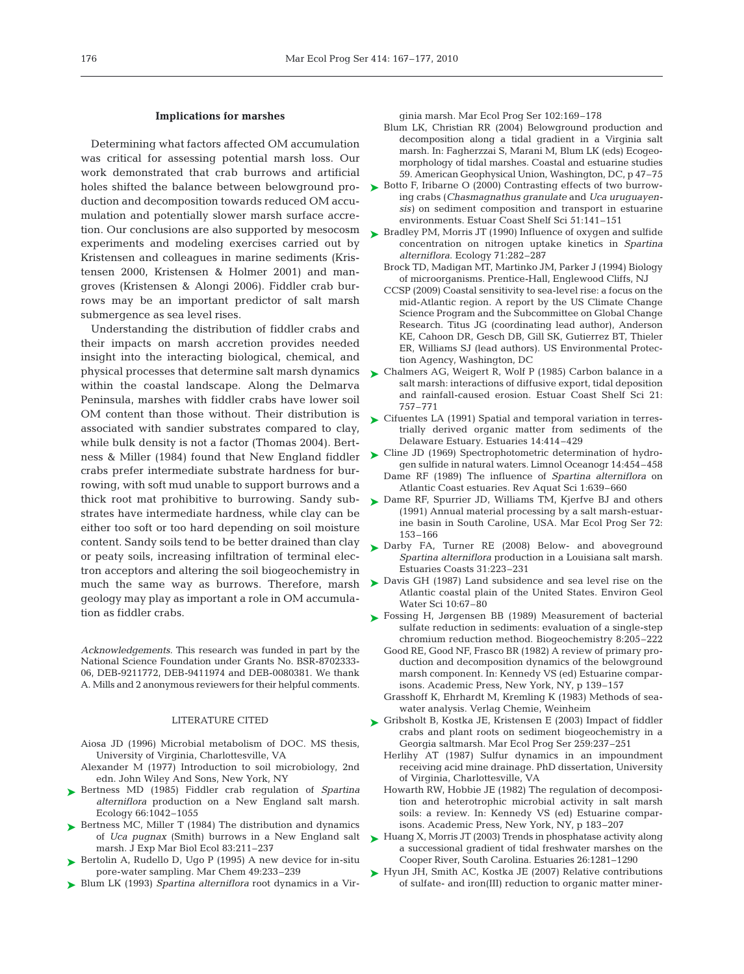### **Implications for marshes**

Determining what factors affected OM accumulation was critical for assessing potential marsh loss. Our work demonstrated that crab burrows and artificial holes shifted the balance between belowground production and decomposition towards reduced OM accumulation and potentially slower marsh surface accretion. Our conclusions are also supported by mesocosm  $\quad$  Bradley PM, Morris JT (1990) Influence of oxygen and sulfide experiments and modeling exercises carried out by Kristensen and colleagues in marine sediments (Kristensen 2000, Kristensen & Holmer 2001) and mangroves (Kristensen & Alongi 2006). Fiddler crab burrows may be an important predictor of salt marsh submergence as sea level rises.

Understanding the distribution of fiddler crabs and their impacts on marsh accretion provides needed insight into the interacting biological, chemical, and physical processes that determine salt marsh dynamics within the coastal landscape. Along the Delmarva Peninsula, marshes with fiddler crabs have lower soil OM content than those without. Their distribution is associated with sandier substrates compared to clay, while bulk density is not a factor (Thomas 2004). Bertcrabs prefer intermediate substrate hardness for burrowing, with soft mud unable to support burrows and a thick root mat prohibitive to burrowing. Sandy substrates have intermediate hardness, while clay can be either too soft or too hard depending on soil moisture content. Sandy soils tend to be better drained than clay or peaty soils, increasing infiltration of terminal electron acceptors and altering the soil biogeochemistry in much the same way as burrows. Therefore, marsh geology may play as important a role in OM accumulation as fiddler crabs.

*Acknowledgements.* This research was funded in part by the National Science Foundation under Grants No. BSR-8702333- 06, DEB-9211772, DEB-9411974 and DEB-0080381. We thank A. Mills and 2 anonymous reviewers for their helpful comments.

# LITERATURE CITED

- Aiosa JD (1996) Microbial metabolism of DOC. MS thesis, University of Virginia, Charlottesville, VA
- Alexander M (1977) Introduction to soil microbiology, 2nd edn. John Wiley And Sons, New York, NY
- ▶ Bertness MD (1985) Fiddler crab regulation of *Spartina alterniflora* production on a New England salt marsh. Ecology 66:1042–1055
- ► Bertness MC, Miller T (1984) The distribution and dynamics of *Uca pugnax* (Smith) burrows in a New England salt marsh. J Exp Mar Biol Ecol 83:211–237
- ► Bertolin A, Rudello D, Ugo P (1995) A new device for in-situ pore-water sampling. Mar Chem 49:233–239
- ► Blum LK (1993) *Spartina alterniflora* root dynamics in a Vir-

ginia marsh. Mar Ecol Prog Ser 102:169–178

- Blum LK, Christian RR (2004) Belowground production and decomposition along a tidal gradient in a Virginia salt marsh. In: Fagherzzai S, Marani M, Blum LK (eds) Ecogeomorphology of tidal marshes. Coastal and estuarine studies 59. American Geophysical Union, Washington, DC, p 47–75
- ► Botto F, Iribarne O (2000) Contrasting effects of two burrowing crabs (*Chasmagnathus granulate* and *Uca uruguayensis)* on sediment composition and transport in estuarine environments. Estuar Coast Shelf Sci 51:141–151
	- concentration on nitrogen uptake kinetics in *Spartina alterniflora*. Ecology 71:282–287
	- Brock TD, Madigan MT, Martinko JM, Parker J (1994) Biology of microorganisms. Prentice-Hall, Englewood Cliffs, NJ
	- CCSP (2009) Coastal sensitivity to sea-level rise: a focus on the mid-Atlantic region. A report by the US Climate Change Science Program and the Subcommittee on Global Change Research. Titus JG (coordinating lead author), Anderson KE, Cahoon DR, Gesch DB, Gill SK, Gutierrez BT, Thieler ER, Williams SJ (lead authors). US Environmental Protection Agency, Washington, DC
- ► Chalmers AG, Weigert R, Wolf P (1985) Carbon balance in a salt marsh: interactions of diffusive export, tidal deposition and rainfall-caused erosion. Estuar Coast Shelf Sci 21: 757–771
- ► Cifuentes LA (1991) Spatial and temporal variation in terrestrially derived organic matter from sediments of the Delaware Estuary. Estuaries 14:414–429
- ness & Miller (1984) found that New England fiddler Cline JD (1969) Spectrophotometric determination of hydrogen sulfide in natural waters. Limnol Oceanogr 14:454–458
	- Dame RF (1989) The influence of *Spartina alterniflora* on Atlantic Coast estuaries. Rev Aquat Sci 1:639–660
	- ► Dame RF, Spurrier JD, Williams TM, Kjerfve BJ and others (1991) Annual material processing by a salt marsh-estuarine basin in South Caroline, USA. Mar Ecol Prog Ser 72: 153–166
	- ▶ Darby FA, Turner RE (2008) Below- and aboveground *Spartina alterniflora* production in a Louisiana salt marsh. Estuaries Coasts 31:223–231
	- ► Davis GH (1987) Land subsidence and sea level rise on the Atlantic coastal plain of the United States. Environ Geol Water Sci 10:67–80
	- ► Fossing H, Jørgensen BB (1989) Measurement of bacterial sulfate reduction in sediments: evaluation of a single-step chromium reduction method. Biogeochemistry 8:205–222
		- Good RE, Good NF, Frasco BR (1982) A review of primary production and decomposition dynamics of the belowground marsh component. In: Kennedy VS (ed) Estuarine comparisons. Academic Press, New York, NY, p 139–157
		- Grasshoff K, Ehrhardt M, Kremling K (1983) Methods of seawater analysis. Verlag Chemie, Weinheim
	- ► Gribsholt B, Kostka JE, Kristensen E (2003) Impact of fiddler crabs and plant roots on sediment biogeochemistry in a Georgia saltmarsh. Mar Ecol Prog Ser 259:237–251
		- Herlihy AT (1987) Sulfur dynamics in an impoundment receiving acid mine drainage. PhD dissertation, University of Virginia, Charlottesville, VA
		- Howarth RW, Hobbie JE (1982) The regulation of decomposition and heterotrophic microbial activity in salt marsh soils: a review. In: Kennedy VS (ed) Estuarine comparisons. Academic Press, New York, NY, p 183–207
	- ► Huang X, Morris JT (2003) Trends in phosphatase activity along a successional gradient of tidal freshwater marshes on the Cooper River, South Carolina. Estuaries 26:1281–1290
	- ► Hyun JH, Smith AC, Kostka JE (2007) Relative contributions of sulfate- and iron(III) reduction to organic matter miner-